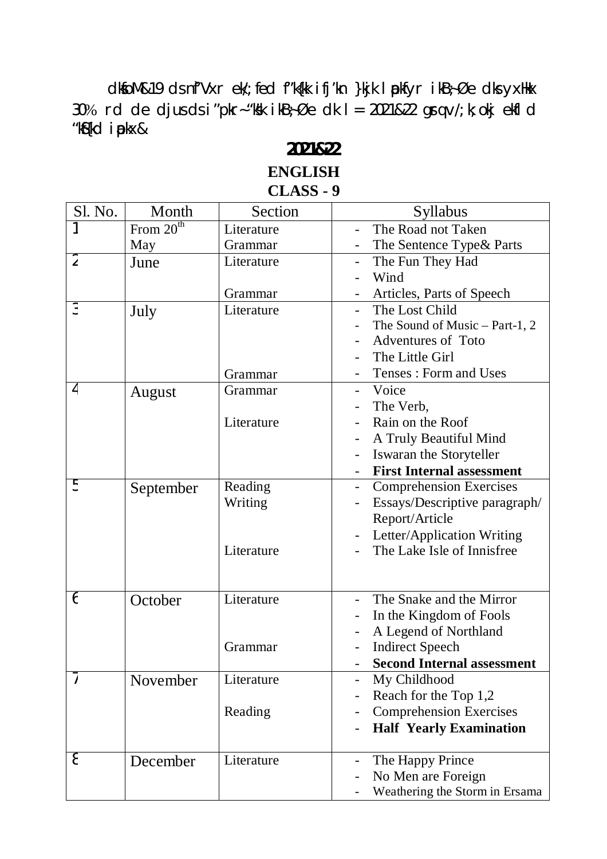dkfoM&19 ds nf'Vxr ek/; fed f"k{kk ifj'kn }kjk lpkfyr ikB;Øe dks yxHkx 30% rd de djus ds i "pkr-"ksk ikB $\frac{1}{2}$ Øe dk l = 2021&22 grq v/; k; okj ekfl d "kSf{kd iapkx&

## **2021&22 ENGLISH**

## **CLASS - 9**

| Sl. No.        | Month       | Section    | <b>Syllabus</b>                   |
|----------------|-------------|------------|-----------------------------------|
|                | From $20th$ | Literature | The Road not Taken                |
|                | May         | Grammar    | The Sentence Type& Parts          |
| $\overline{2}$ | June        | Literature | The Fun They Had                  |
|                |             |            | Wind                              |
|                |             | Grammar    | Articles, Parts of Speech         |
| 3              | July        | Literature | The Lost Child                    |
|                |             |            | The Sound of Music – Part-1, 2    |
|                |             |            | <b>Adventures of Toto</b>         |
|                |             |            | The Little Girl                   |
|                |             | Grammar    | Tenses: Form and Uses             |
| 4              | August      | Grammar    | Voice                             |
|                |             |            | The Verb,                         |
|                |             | Literature | Rain on the Roof                  |
|                |             |            | A Truly Beautiful Mind            |
|                |             |            | Iswaran the Storyteller           |
|                |             |            | <b>First Internal assessment</b>  |
| 5              | September   | Reading    | <b>Comprehension Exercises</b>    |
|                |             | Writing    | Essays/Descriptive paragraph/     |
|                |             |            | Report/Article                    |
|                |             |            | Letter/Application Writing        |
|                |             | Literature | The Lake Isle of Innisfree        |
|                |             |            |                                   |
|                |             |            |                                   |
| 6              | October     | Literature | The Snake and the Mirror          |
|                |             |            | In the Kingdom of Fools           |
|                |             |            | A Legend of Northland             |
|                |             | Grammar    | <b>Indirect Speech</b>            |
|                |             |            | <b>Second Internal assessment</b> |
|                | November    | Literature | My Childhood                      |
|                |             |            | Reach for the Top 1,2             |
|                |             | Reading    | <b>Comprehension Exercises</b>    |
|                |             |            | <b>Half Yearly Examination</b>    |
| 8              | December    | Literature | The Happy Prince                  |
|                |             |            | No Men are Foreign                |
|                |             |            | Weathering the Storm in Ersama    |